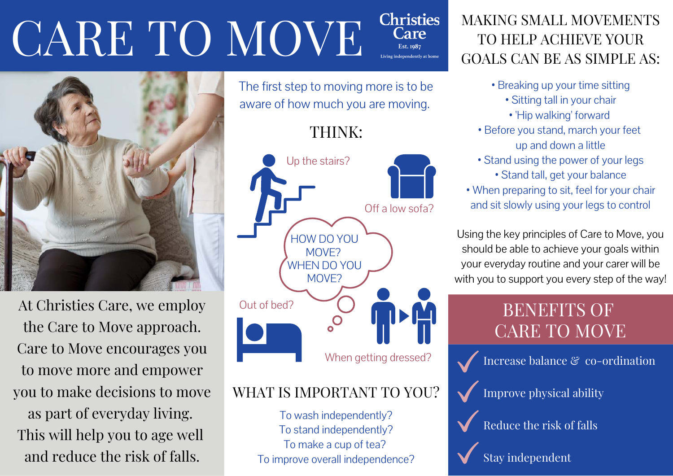#### **Christies** CARE TO MOVE Care **Est.** 1087



At Christies Care, we employ the Care to Move approach. Care to Move encourages you to move more and empower you to make decisions to move as part of everyday living. This will help you to age well and reduce the risk of falls.

The first step to moving more is to be aware of how much you are moving.

THINK:



## WHAT IS IMPORTANT TO YOU?

To wash independently? To stand independently? To make a cup of tea? To improve overall independence?

## MAKING SMALL MOVEMENTS TO HELP ACHIEVE YOUR GOALS CAN BE AS SIMPLE AS:

- Breaking up your time sitting
	- Sitting tall in your chair
	- 'Hip walking' forward
- Before you stand, march your feet up and down a little
- Stand using the power of your legs • Stand tall, get your balance
- When preparing to sit, feel for your chair and sit slowly using your legs to control

Using the key principles of Care to Move, you should be able to achieve your goals within your everyday routine and your carer will be with you to support you every step of the way!

## BENEFITS OF CARE TO MOVE





Reduce the risk of falls